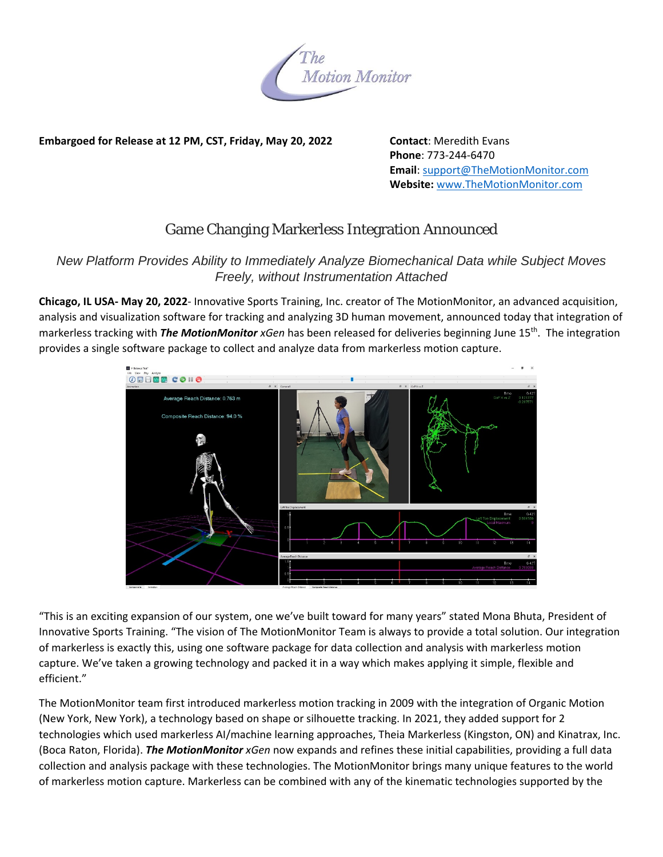

## **Embargoed for Release at 12 PM, CST, Friday, May 20, 2022 Contact**: Meredith Evans

 **Phone**: 773‐244‐6470 **Email**: support@TheMotionMonitor.com  **Website:** www.TheMotionMonitor.com

## Game Changing Markerless Integration Announced

## *New Platform Provides Ability to Immediately Analyze Biomechanical Data while Subject Moves Freely, without Instrumentation Attached*

**Chicago, IL USA‐ May 20, 2022**‐ Innovative Sports Training, Inc. creator of The MotionMonitor, an advanced acquisition, analysis and visualization software for tracking and analyzing 3D human movement, announced today that integration of markerless tracking with *The MotionMonitor xGen* has been released for deliveries beginning June 15th. The integration provides a single software package to collect and analyze data from markerless motion capture.



"This is an exciting expansion of our system, one we've built toward for many years" stated Mona Bhuta, President of Innovative Sports Training. "The vision of The MotionMonitor Team is always to provide a total solution. Our integration of markerless is exactly this, using one software package for data collection and analysis with markerless motion capture. We've taken a growing technology and packed it in a way which makes applying it simple, flexible and efficient."

The MotionMonitor team first introduced markerless motion tracking in 2009 with the integration of Organic Motion (New York, New York), a technology based on shape or silhouette tracking. In 2021, they added support for 2 technologies which used markerless AI/machine learning approaches, Theia Markerless (Kingston, ON) and Kinatrax, Inc. (Boca Raton, Florida). *The MotionMonitor xGen* now expands and refines these initial capabilities, providing a full data collection and analysis package with these technologies. The MotionMonitor brings many unique features to the world of markerless motion capture. Markerless can be combined with any of the kinematic technologies supported by the